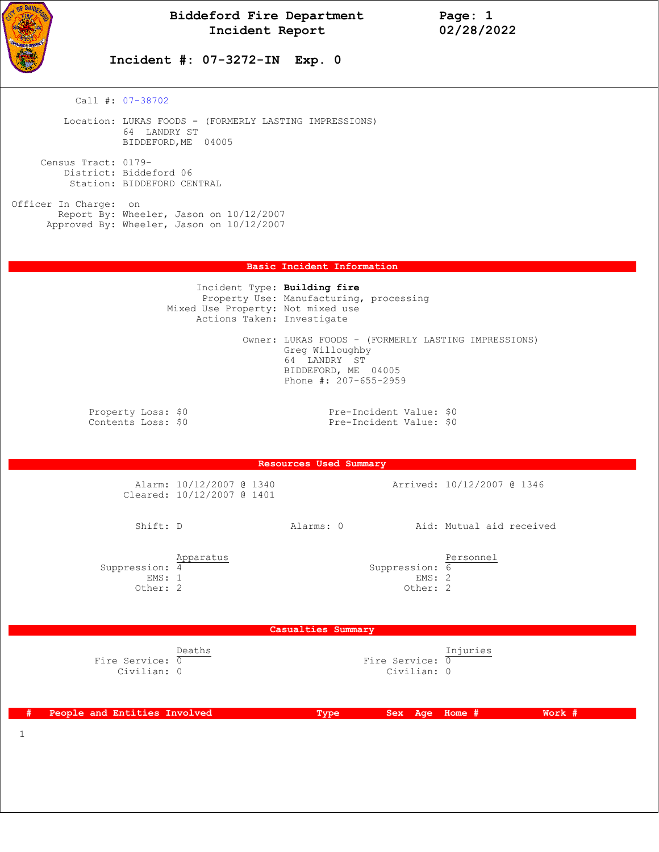

 **Incident #: 07-3272-IN Exp. 0**

Call #: 07-38702

 Location: LUKAS FOODS - (FORMERLY LASTING IMPRESSIONS) 64 LANDRY ST BIDDEFORD,ME 04005

 Census Tract: 0179- District: Biddeford 06 Station: BIDDEFORD CENTRAL

Officer In Charge: on Report By: Wheeler, Jason on 10/12/2007 Approved By: Wheeler, Jason on 10/12/2007

## **Basic Incident Information**

|                                          | Incident Type: Building fire<br>Mixed Use Property: Not mixed use<br>Actions Taken: Investigate | Property Use: Manufacturing, processing                                                                                                |                            |
|------------------------------------------|-------------------------------------------------------------------------------------------------|----------------------------------------------------------------------------------------------------------------------------------------|----------------------------|
|                                          |                                                                                                 | Owner: LUKAS FOODS - (FORMERLY LASTING IMPRESSIONS)<br>Greg Willoughby<br>64 LANDRY ST<br>BIDDEFORD, ME 04005<br>Phone #: 207-655-2959 |                            |
| Property Loss: \$0<br>Contents Loss: \$0 |                                                                                                 | Pre-Incident Value: \$0<br>Pre-Incident Value: \$0                                                                                     |                            |
|                                          |                                                                                                 | <b>Resources Used Summary</b>                                                                                                          |                            |
|                                          | Alarm: 10/12/2007 @ 1340<br>Cleared: 10/12/2007 @ 1401                                          |                                                                                                                                        | Arrived: 10/12/2007 @ 1346 |
| Shift: D                                 |                                                                                                 | Alarms: 0                                                                                                                              | Aid: Mutual aid received   |
| Suppression: 4                           | Apparatus                                                                                       | Suppression: 6                                                                                                                         | Personnel                  |

EMS: 1 EMS: 2 Other: 2 Other: 2

 **Casualties Summary** 

| Deaths          | Injuries        |
|-----------------|-----------------|
| Fire Service: 0 | Fire Service: 0 |
| Civilian: 0     | Civilian: 0     |

 **# People and Entities Involved Type Sex Age Home # Work #**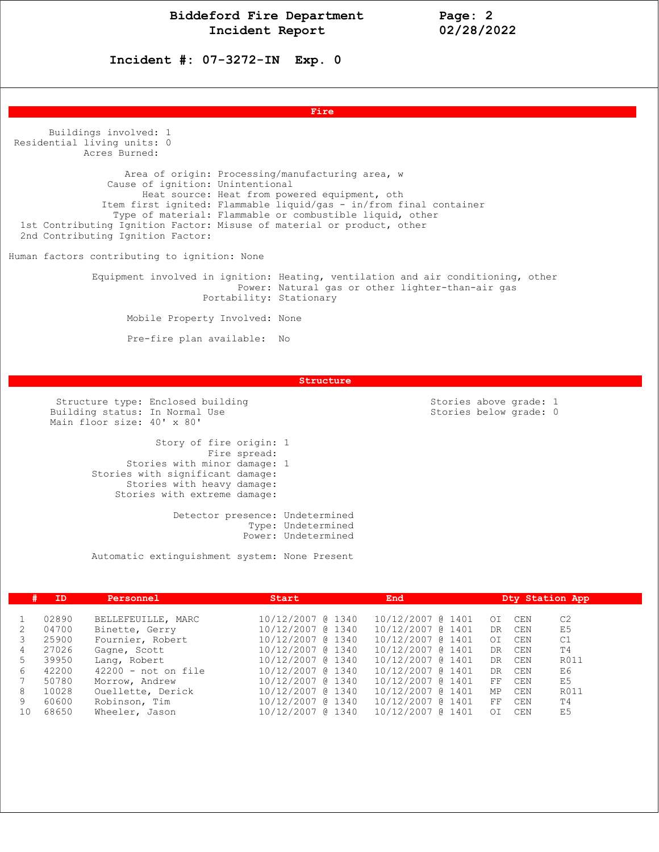**Incident #: 07-3272-IN Exp. 0**

**Fire and the contract of the contract of the contract of the contract of the contract of the contract of the contract of the contract of the contract of the contract of the contract of the contract of the contract of the** 

 Buildings involved: 1 Residential living units: 0 Acres Burned: Area of origin: Processing/manufacturing area, w Cause of ignition: Unintentional Heat source: Heat from powered equipment, oth Item first ignited: Flammable liquid/gas - in/from final container Type of material: Flammable or combustible liquid, other 1st Contributing Ignition Factor: Misuse of material or product, other 2nd Contributing Ignition Factor: Human factors contributing to ignition: None Equipment involved in ignition: Heating, ventilation and air conditioning, other Power: Natural gas or other lighter-than-air gas Portability: Stationary Mobile Property Involved: None Pre-fire plan available: No

 **Structure** 

Structure type: Enclosed building<br>
Stories above grade: 1<br>
Stories below grade: 0<br>
Stories below grade: 0 Building status: In Normal Use Main floor size: 40' x 80'

 Story of fire origin: 1 Fire spread: Stories with minor damage: 1 Stories with significant damage: Stories with heavy damage: Stories with extreme damage:

> Detector presence: Undetermined Type: Undetermined Power: Undetermined

Automatic extinguishment system: None Present

| #  | ID    | Personnel             | Start             | End               | Dty Station App                   |  |
|----|-------|-----------------------|-------------------|-------------------|-----------------------------------|--|
|    |       |                       |                   |                   |                                   |  |
|    | 02890 | BELLEFEUILLE, MARC    | 10/12/2007 @ 1340 | 10/12/2007 @ 1401 | C <sub>2</sub><br>CEN<br>$\Omega$ |  |
|    | 04700 | Binette, Gerry        | 10/12/2007 @ 1340 | 10/12/2007 @ 1401 | E <sub>5</sub><br>CEN<br>DR       |  |
|    | 25900 | Fournier, Robert      | 10/12/2007 @ 1340 | 10/12/2007 @ 1401 | C1<br>CEN<br>OI                   |  |
| 4  | 27026 | Gagne, Scott          | 10/12/2007 @ 1340 | 10/12/2007 @ 1401 | T4<br>CEN<br>DR                   |  |
| 5  | 39950 | Lang, Robert          | 10/12/2007 @ 1340 | 10/12/2007 @ 1401 | R011<br>CEN<br>DR                 |  |
| 6  | 42200 | $42200$ - not on file | 10/12/2007 @ 1340 | 10/12/2007 @ 1401 | E6<br>CEN<br>DR.                  |  |
|    | 50780 | Morrow, Andrew        | 10/12/2007 @ 1340 | 10/12/2007 @ 1401 | E5<br>CEN<br>FF.                  |  |
| 8  | 10028 | Ouellette, Derick     | 10/12/2007 @ 1340 | 10/12/2007 @ 1401 | R011<br>МP<br>CEN                 |  |
| 9  | 60600 | Robinson, Tim         | 10/12/2007 @ 1340 | 10/12/2007 @ 1401 | T4<br>FF<br>CEN                   |  |
| 10 | 68650 | Wheeler, Jason        | 10/12/2007 @ 1340 | 10/12/2007 @ 1401 | E <sub>5</sub><br>CEN<br>OI       |  |